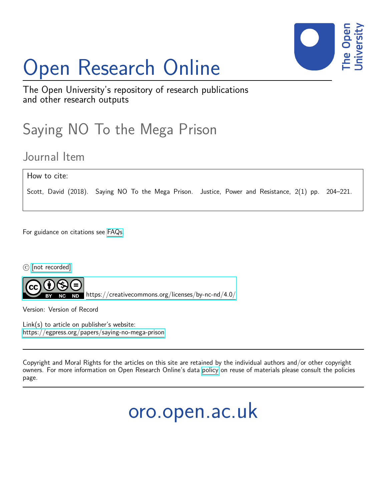# Open Research Online



The Open University's repository of research publications and other research outputs

## Saying NO To the Mega Prison

### Journal Item

How to cite:

Scott, David (2018). Saying NO To the Mega Prison. Justice, Power and Resistance, 2(1) pp. 204-221.

For guidance on citations see [FAQs.](http://oro.open.ac.uk/help/helpfaq.html)

c [\[not recorded\]](http://oro.open.ac.uk/help/helpfaq.html#Unrecorded_information_on_coversheet)



<https://creativecommons.org/licenses/by-nc-nd/4.0/>

Version: Version of Record

Link(s) to article on publisher's website: <https://egpress.org/papers/saying-no-mega-prison>

Copyright and Moral Rights for the articles on this site are retained by the individual authors and/or other copyright owners. For more information on Open Research Online's data [policy](http://oro.open.ac.uk/policies.html) on reuse of materials please consult the policies page.

oro.open.ac.uk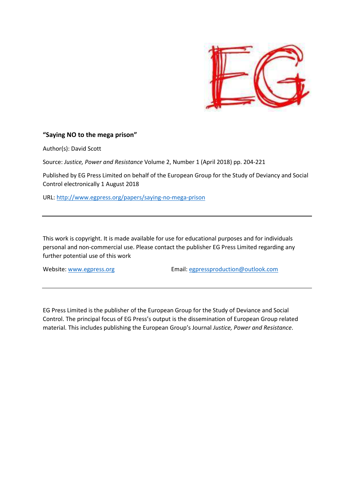

#### **"Saying NO to the mega prison"**

Author(s): David Scott

Source: *Justice, Power and Resistance* Volume 2, Number 1 (April 2018) pp. 204-221

Published by EG Press Limited on behalf of the European Group for the Study of Deviancy and Social Control electronically 1 August 2018

URL: http://www.egpress.org/papers/saying-no-mega-prison

This work is copyright. It is made available for use for educational purposes and for individuals personal and non-commercial use. Please contact the publisher EG Press Limited regarding any further potential use of this work

Website: www.egpress.org Email: egpressproduction@outlook.com

EG Press Limited is the publisher of the European Group for the Study of Deviance and Social Control. The principal focus of EG Press's output is the dissemination of European Group related material. This includes publishing the European Group's Journal *Justice, Power and Resistance*.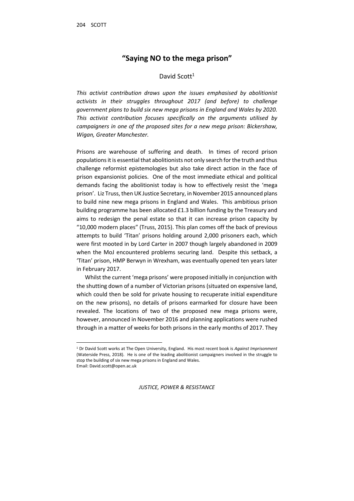$\overline{\phantom{0}}$ 

#### **"Saying NO to the mega prison"**

#### David Scott<sup>1</sup>

*This activist contribution draws upon the issues emphasised by abolitionist activists in their struggles throughout 2017 (and before) to challenge government plans to build six new mega prisons in England and Wales by 2020. This activist contribution focuses specifically on the arguments utilised by campaigners in one of the proposed sites for a new mega prison: Bickershaw, Wigan, Greater Manchester.* 

Prisons are warehouse of suffering and death. In times of record prison populations it is essential that abolitionists not only search for the truth and thus challenge reformist epistemologies but also take direct action in the face of prison expansionist policies. One of the most immediate ethical and political demands facing the abolitionist today is how to effectively resist the 'mega prison'. Liz Truss, then UK Justice Secretary, in November 2015 announced plans to build nine new mega prisons in England and Wales. This ambitious prison building programme has been allocated £1.3 billion funding by the Treasury and aims to redesign the penal estate so that it can increase prison capacity by "10,000 modern places" (Truss, 2015). This plan comes off the back of previous attempts to build 'Titan' prisons holding around 2,000 prisoners each, which were first mooted in by Lord Carter in 2007 though largely abandoned in 2009 when the MoJ encountered problems securing land. Despite this setback, a 'Titan' prison, HMP Berwyn in Wrexham, was eventually opened ten years later in February 2017.

Whilst the current 'mega prisons' were proposed initially in conjunction with the shutting down of a number of Victorian prisons (situated on expensive land, which could then be sold for private housing to recuperate initial expenditure on the new prisons), no details of prisons earmarked for closure have been revealed. The locations of two of the proposed new mega prisons were, however, announced in November 2016 and planning applications were rushed through in a matter of weeks for both prisons in the early months of 2017. They

<sup>1</sup> Dr David Scott works at The Open University, England. His most recent book is *Against Imprisonment* (Waterside Press, 2018). He is one of the leading abolitionist campaigners involved in the struggle to stop the building of six new mega prisons in England and Wales. Email: David.scott@open.ac.uk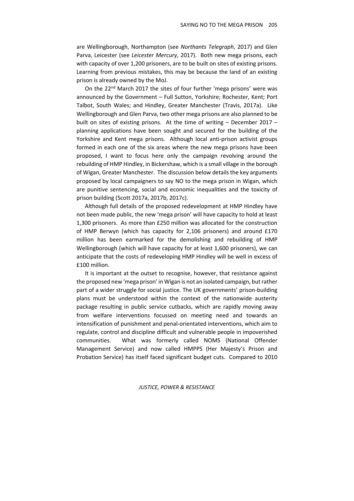are Wellingborough, Northampton (see *Northants Telegraph*, 2017) and Glen Parva, Leicester (see *Leicester Mercury*, 2017). Both new mega prisons, each with capacity of over 1,200 prisoners, are to be built on sites of existing prisons. Learning from previous mistakes, this may be because the land of an existing prison is already owned by the MoJ.

On the 22<sup>nd</sup> March 2017 the sites of four further 'mega prisons' were was announced by the Government – Full Sutton, Yorkshire; Rochester, Kent; Port Talbot, South Wales; and Hindley, Greater Manchester (Travis, 2017a). Like Wellingborough and Glen Parva, two other mega prisons are also planned to be built on sites of existing prisons. At the time of writing – December 2017 – planning applications have been sought and secured for the building of the Yorkshire and Kent mega prisons. Although local anti-prison activist groups formed in each one of the six areas where the new mega prisons have been proposed, I want to focus here only the campaign revolving around the rebuilding of HMP Hindley, in Bickershaw, which is a small village in the borough of Wigan, Greater Manchester. The discussion below details the key arguments proposed by local campaigners to say NO to the mega prison in Wigan, which are punitive sentencing, social and economic inequalities and the toxicity of prison building (Scott 2017a, 2017b, 2017c).

Although full details of the proposed redevelopment at HMP Hindley have not been made public, the new 'mega prison' will have capacity to hold at least 1,300 prisoners. As more than £250 million was allocated for the construction of HMP Berwyn (which has capacity for 2,106 prisoners) and around £170 million has been earmarked for the demolishing and rebuilding of HMP Wellingborough (which will have capacity for at least 1,600 prisoners), we can anticipate that the costs of redeveloping HMP Hindley will be well in excess of £100 million.

It is important at the outset to recognise, however, that resistance against the proposed new 'mega prison' in Wigan is not an isolated campaign, but rather part of a wider struggle for social justice. The UK governments' prison-building plans must be understood within the context of the nationwide austerity package resulting in public service cutbacks, which are rapidly moving away from welfare interventions focussed on meeting need and towards an intensification of punishment and penal-orientated interventions, which aim to regulate, control and discipline difficult and vulnerable people in impoverished communities. What was formerly called NOMS (National Offender Management Service) and now called HMPPS (Her Majesty's Prison and Probation Service) has itself faced significant budget cuts. Compared to 2010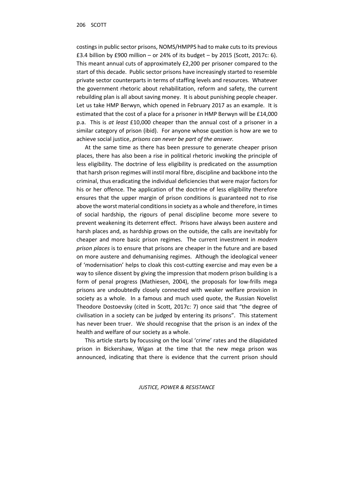costings in public sector prisons, NOMS/HMPPS had to make cuts to its previous £3.4 billion by £900 million – or 24% of its budget – by 2015 (Scott, 2017c: 6). This meant annual cuts of approximately £2,200 per prisoner compared to the start of this decade. Public sector prisons have increasingly started to resemble private sector counterparts in terms of staffing levels and resources. Whatever the government rhetoric about rehabilitation, reform and safety, the current rebuilding plan is all about saving money. It is about punishing people cheaper. Let us take HMP Berwyn, which opened in February 2017 as an example. It is estimated that the cost of a place for a prisoner in HMP Berwyn will be £14,000 p.a. This is *at least* £10,000 cheaper than the annual cost of a prisoner in a similar category of prison (ibid). For anyone whose question is how are we to achieve social justice, *prisons can never be part of the answer.*

At the same time as there has been pressure to generate cheaper prison places, there has also been a rise in political rhetoric invoking the principle of less eligibility. The doctrine of less eligibility is predicated on the assumption that harsh prison regimes will instil moral fibre, discipline and backbone into the criminal, thus eradicating the individual deficiencies that were major factors for his or her offence. The application of the doctrine of less eligibility therefore ensures that the upper margin of prison conditions is guaranteed not to rise above the worst material conditions in society as a whole and therefore, in times of social hardship, the rigours of penal discipline become more severe to prevent weakening its deterrent effect. Prisons have always been austere and harsh places and, as hardship grows on the outside, the calls are inevitably for cheaper and more basic prison regimes. The current investment in *modern prison places* is to ensure that prisons are cheaper in the future and are based on more austere and dehumanising regimes. Although the ideological veneer of 'modernisation' helps to cloak this cost-cutting exercise and may even be a way to silence dissent by giving the impression that modern prison building is a form of penal progress (Mathiesen, 2004), the proposals for low-frills mega prisons are undoubtedly closely connected with weaker welfare provision in society as a whole. In a famous and much used quote, the Russian Novelist Theodore Dostoevsky (cited in Scott, 2017c: 7) once said that "the degree of civilisation in a society can be judged by entering its prisons". This statement has never been truer. We should recognise that the prison is an index of the health and welfare of our society as a whole.

This article starts by focussing on the local 'crime' rates and the dilapidated prison in Bickershaw, Wigan at the time that the new mega prison was announced, indicating that there is evidence that the current prison should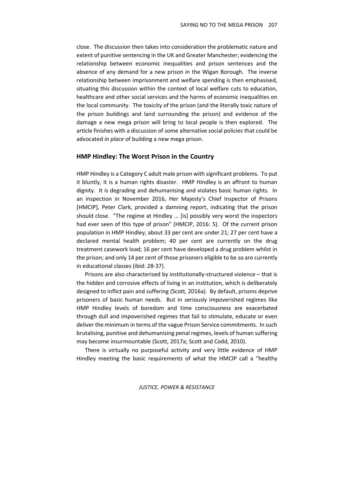close. The discussion then takes into consideration the problematic nature and extent of punitive sentencing in the UK and Greater Manchester; evidencing the relationship between economic inequalities and prison sentences and the absence of any demand for a new prison in the Wigan Borough. The inverse relationship between imprisonment and welfare spending is then emphasised, situating this discussion within the context of local welfare cuts to education, healthcare and other social services and the harms of economic inequalities on the local community. The toxicity of the prison (and the literally toxic nature of the prison buildings and land surrounding the prison) and evidence of the damage a new mega prison will bring to local people is then explored. The article finishes with a discussion of some alternative social policies that could be advocated *in place* of building a new mega prison.

#### **HMP Hindley: The Worst Prison in the Country**

HMP Hindley is a Category C adult male prison with significant problems. To put it bluntly, it is a human rights disaster. HMP Hindley is an affront to human dignity. It is degrading and dehumanising and violates basic human rights*.* In an inspection in November 2016, Her Majesty's Chief Inspector of Prisons [HMCIP], Peter Clark, provided a damning report, indicating that the prison should close. "The regime at Hindley ... [is] possibly very worst the inspectors had ever seen of this type of prison" (HMCIP, 2016: 5). Of the current prison population in HMP Hindley, about 33 per cent are under 21; 27 per cent have a declared mental health problem; 40 per cent are currently on the drug treatment casework load; 16 per cent have developed a drug problem whilst in the prison; and only 14 per cent of those prisoners eligible to be so are currently in educational classes (ibid: 28-37).

Prisons are also characterised by institutionally-structured violence – that is the hidden and corrosive effects of living in an institution, which is deliberately designed to inflict pain and suffering (Scott, 2016a). By default, prisons deprive prisoners of basic human needs. But in seriously impoverished regimes like HMP Hindley levels of boredom and time consciousness are exacerbated through dull and impoverished regimes that fail to stimulate, educate or even deliver the minimum in terms of the vague Prison Service commitments. In such brutalising, punitive and dehumanising penal regimes, levels of human suffering may become insurmountable (Scott, 2017a; Scott and Codd, 2010).

There is virtually no purposeful activity and very little evidence of HMP Hindley meeting the basic requirements of what the HMCIP call a "healthy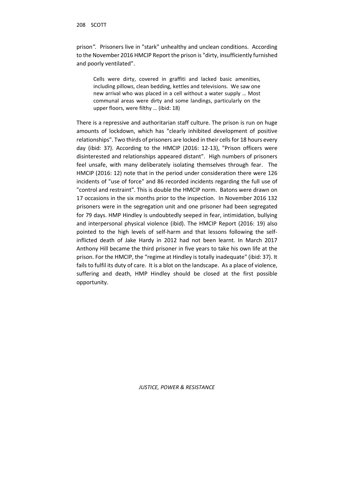prison*".* Prisoners live in "stark" unhealthy and unclean conditions. According to the November 2016 HMCIP Report the prison is "dirty, insufficiently furnished and poorly ventilated".

Cells were dirty, covered in graffiti and lacked basic amenities, including pillows, clean bedding, kettles and televisions. We saw one new arrival who was placed in a cell without a water supply … Most communal areas were dirty and some landings, particularly on the upper floors, were filthy … (ibid: 18)

There is a repressive and authoritarian staff culture. The prison is run on huge amounts of lockdown, which has "clearly inhibited development of positive relationships". Two thirds of prisoners are locked in their cells for 18 hours every day (ibid: 37). According to the HMCIP (2016: 12-13), "Prison officers were disinterested and relationships appeared distant". High numbers of prisoners feel unsafe, with many deliberately isolating themselves through fear. The HMCIP (2016: 12) note that in the period under consideration there were 126 incidents of "use of force" and 86 recorded incidents regarding the full use of "control and restraint". This is double the HMCIP norm. Batons were drawn on 17 occasions in the six months prior to the inspection. In November 2016 132 prisoners were in the segregation unit and one prisoner had been segregated for 79 days. HMP Hindley is undoubtedly seeped in fear, intimidation, bullying and interpersonal physical violence (ibid). The HMCIP Report (2016: 19) also pointed to the high levels of self-harm and that lessons following the selfinflicted death of Jake Hardy in 2012 had not been learnt. In March 2017 Anthony Hill became the third prisoner in five years to take his own life at the prison. For the HMCIP, the "regime at Hindley is totally inadequate" (ibid: 37). It fails to fulfil its duty of care. It is a blot on the landscape. As a place of violence, suffering and death, HMP Hindley should be closed at the first possible opportunity.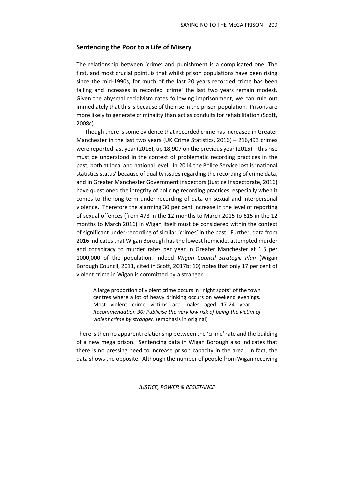#### **Sentencing the Poor to a Life of Misery**

The relationship between 'crime' and punishment is a complicated one. The first, and most crucial point, is that whilst prison populations have been rising since the mid-1990s, for much of the last 20 years recorded crime has been falling and increases in recorded 'crime' the last two years remain modest. Given the abysmal recidivism rates following imprisonment, we can rule out immediately that this is because of the rise in the prison population*.* Prisons are more likely to generate criminality than act as conduits for rehabilitation (Scott, 2008c).

Though there is some evidence that recorded crime has increased in Greater Manchester in the last two years (UK Crime Statistics, 2016) – 216,493 crimes were reported last year (2016), up 18,907 on the previous year (2015) – this rise must be understood in the context of problematic recording practices in the past, both at local and national level. In 2014 the Police Service lost is 'national statistics status' because of quality issues regarding the recording of crime data, and in Greater Manchester Government inspectors (Justice Inspectorate, 2016) have questioned the integrity of policing recording practices, especially when it comes to the long-term under-recording of data on sexual and interpersonal violence. Therefore the alarming 30 per cent increase in the level of reporting of sexual offences (from 473 in the 12 months to March 2015 to 615 in the 12 months to March 2016) in Wigan itself must be considered within the context of significant under-recording of similar 'crimes' in the past. Further, data from 2016 indicates that Wigan Borough has the lowest homicide, attempted murder and conspiracy to murder rates per year in Greater Manchester at 1.5 per 1000,000 of the population. Indeed *Wigan Council Strategic Plan* (Wigan Borough Council, 2011, cited in Scott, 2017b: 10) notes that only 17 per cent of violent crime in Wigan is committed by a stranger.

A large proportion of violent crime occurs in "night spots" of the town centres where a lot of heavy drinking occurs on weekend evenings. Most violent crime victims are males aged 17-24 year …. *Recommendation 30: Publicise the very low risk of being the victim of violent crime by stranger*. (emphasis in original)

There is then no apparent relationship between the 'crime' rate and the building of a new mega prison. Sentencing data in Wigan Borough also indicates that there is no pressing need to increase prison capacity in the area. In fact, the data shows the opposite. Although the number of people from Wigan receiving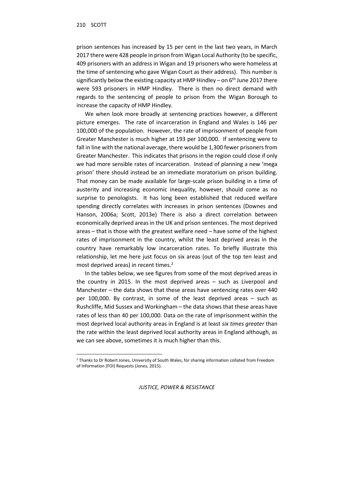l

prison sentences has increased by 15 per cent in the last two years, in March 2017 there were 428 people in prison from Wigan Local Authority (to be specific, 409 prisoners with an address in Wigan and 19 prisoners who were homeless at the time of sentencing who gave Wigan Court as their address). This number is significantly below the existing capacity at HMP Hindley - on 6<sup>th</sup> June 2017 there were 593 prisoners in HMP Hindley. There is then no direct demand with regards to the sentencing of people to prison from the Wigan Borough to increase the capacity of HMP Hindley.

We when look more broadly at sentencing practices however, a different picture emerges. The rate of incarceration in England and Wales is 146 per 100,000 of the population. However, the rate of imprisonment of people from Greater Manchester is much higher at 193 per 100,000. If sentencing were to fall in line with the national average, there would be 1,300 fewer prisoners from Greater Manchester. This indicates that prisons in the region could close if only we had more sensible rates of incarceration. Instead of planning a new 'mega prison' there should instead be an immediate moratorium on prison building. That money can be made available for large-scale prison building in a time of austerity and increasing economic inequality, however, should come as no surprise to penologists. It has long been established that reduced welfare spending directly correlates with increases in prison sentences (Downes and Hanson, 2006a; Scott, 2013e) There is also a direct correlation between economically deprived areas in the UK and prison sentences. The most deprived areas – that is those with the greatest welfare need – have some of the highest rates of imprisonment in the country, whilst the least deprived areas in the country have remarkably low incarceration rates. To briefly illustrate this relationship, let me here just focus on six areas (out of the top ten least and most deprived areas) in recent times.<sup>2</sup>

In the tables below, we see figures from some of the most deprived areas in the country in 2015. In the most deprived areas – such as Liverpool and Manchester – the data shows that these areas have sentencing rates over 440 per 100,000. By contrast, in some of the least deprived areas – such as Rushcliffe, Mid Sussex and Workingham – the data shows that these areas have rates of less than 40 per 100,000. Data on the rate of imprisonment within the most deprived local authority areas in England is at least *six times greater* than the rate within the least deprived local authority areas in England although, as we can see above, sometimes it is much higher than this.

<sup>&</sup>lt;sup>2</sup> Thanks to Dr Robert Jones, University of South Wales, for sharing information collated from Freedom of Information [FOI] Requests (Jones, 2015).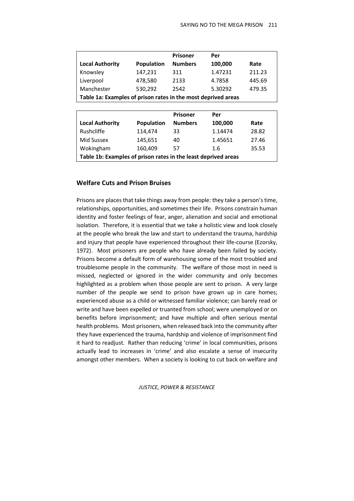|                                                               |            | <b>Prisoner</b> | Per     |        |  |  |
|---------------------------------------------------------------|------------|-----------------|---------|--------|--|--|
| <b>Local Authority</b>                                        | Population | <b>Numbers</b>  | 100,000 | Rate   |  |  |
| Knowsley                                                      | 147,231    | 311             | 1.47231 | 211.23 |  |  |
| Liverpool                                                     | 478,580    | 2133            | 4.7858  | 445.69 |  |  |
| Manchester                                                    | 530,292    | 2542            | 5.30292 | 479.35 |  |  |
| Table 1a: Examples of prison rates in the most deprived areas |            |                 |         |        |  |  |

|                                                                |            | <b>Prisoner</b> | Per     |       |  |  |
|----------------------------------------------------------------|------------|-----------------|---------|-------|--|--|
| <b>Local Authority</b>                                         | Population | <b>Numbers</b>  | 100,000 | Rate  |  |  |
| Rushcliffe                                                     | 114,474    | 33              | 1.14474 | 28.82 |  |  |
| Mid Sussex                                                     | 145,651    | 40              | 1.45651 | 27.46 |  |  |
| Wokingham                                                      | 160,409    | 57              | 1.6     | 35.53 |  |  |
| Table 1b: Examples of prison rates in the least deprived areas |            |                 |         |       |  |  |

#### **Welfare Cuts and Prison Bruises**

Prisons are places that take things away from people: they take a person's time, relationships, opportunities, and sometimes their life. Prisons constrain human identity and foster feelings of fear, anger, alienation and social and emotional isolation. Therefore, it is essential that we take a holistic view and look closely at the people who break the law and start to understand the trauma, hardship and injury that people have experienced throughout their life-course (Ezorsky, 1972). Most prisoners are people who have already been failed by society. Prisons become a default form of warehousing some of the most troubled and troublesome people in the community. The welfare of those most in need is missed, neglected or ignored in the wider community and only becomes highlighted as a problem when those people are sent to prison. A very large number of the people we send to prison have grown up in care homes; experienced abuse as a child or witnessed familiar violence; can barely read or write and have been expelled or truanted from school; were unemployed or on benefits before imprisonment; and have multiple and often serious mental health problems. Most prisoners, when released back into the community after they have experienced the trauma, hardship and violence of imprisonment find it hard to readjust. Rather than reducing 'crime' in local communities, prisons actually lead to increases in 'crime' and also escalate a sense of insecurity amongst other members. When a society is looking to cut back on welfare and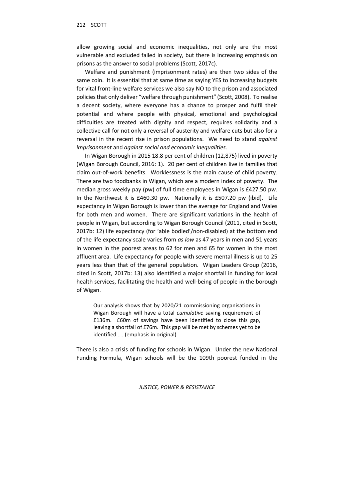allow growing social and economic inequalities, not only are the most vulnerable and excluded failed in society, but there is increasing emphasis on prisons as the answer to social problems (Scott, 2017c).

Welfare and punishment (imprisonment rates) are then two sides of the same coin. It is essential that at same time as saying YES to increasing budgets for vital front-line welfare services we also say NO to the prison and associated policies that only deliver "welfare through punishment" (Scott, 2008). To realise a decent society, where everyone has a chance to prosper and fulfil their potential and where people with physical, emotional and psychological difficulties are treated with dignity and respect, requires solidarity and a collective call for not only a reversal of austerity and welfare cuts but also for a reversal in the recent rise in prison populations. We need to stand *against imprisonment* and *against social and economic inequalities*.

In Wigan Borough in 2015 18.8 per cent of children (12,875) lived in poverty (Wigan Borough Council, 2016: 1). 20 per cent of children live in families that claim out-of-work benefits. Worklessness is the main cause of child poverty. There are two foodbanks in Wigan, which are a modern index of poverty. The median gross weekly pay (pw) of full time employees in Wigan is £427.50 pw. In the Northwest it is £460.30 pw. Nationally it is £507.20 pw (ibid). Life expectancy in Wigan Borough is lower than the average for England and Wales for both men and women. There are significant variations in the health of people in Wigan, but according to Wigan Borough Council (2011, cited in Scott, 2017b: 12) life expectancy (for 'able bodied'/non-disabled) at the bottom end of the life expectancy scale varies from *as low* as 47 years in men and 51 years in women in the poorest areas to 62 for men and 65 for women in the most affluent area. Life expectancy for people with severe mental illness is up to 25 years less than that of the general population. Wigan Leaders Group (2016, cited in Scott, 2017b: 13) also identified a major shortfall in funding for local health services, facilitating the health and well-being of people in the borough of Wigan.

Our analysis shows that by 2020/21 commissioning organisations in Wigan Borough will have a total *cumulative* saving requirement of £136m. £60m of savings have been identified to close this gap, leaving a shortfall of £76m. This gap will be met by schemes yet to be identified …. (emphasis in original)

There is also a crisis of funding for schools in Wigan. Under the new National Funding Formula, Wigan schools will be the 109th poorest funded in the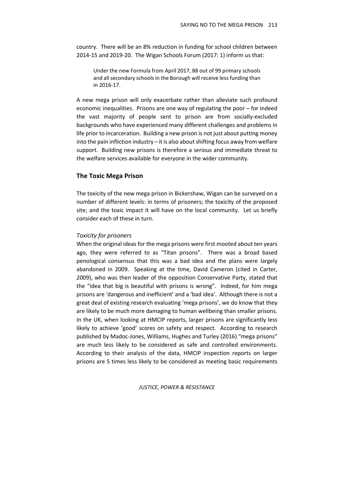country. There will be an 8% reduction in funding for school children between 2014-15 and 2019-20. The Wigan Schools Forum (2017: 1) inform us that:

Under the new Formula from April 2017, 88 out of 99 primary schools and all secondary schools in the Borough will receive less funding than in 2016-17.

A new mega prison will only exacerbate rather than alleviate such profound economic inequalities. Prisons are one way of regulating the poor – for indeed the vast majority of people sent to prison are from socially-excluded backgrounds who have experienced many different challenges and problems in life prior to incarceration. Building a new prison is not just about putting money into the pain infliction industry – it is also about shifting focus away from welfare support. Building new prisons is therefore a serious and immediate threat to the welfare services available for everyone in the wider community.

#### **The Toxic Mega Prison**

The toxicity of the new mega prison in Bickershaw, Wigan can be surveyed on a number of different levels: in terms of prisoners; the toxicity of the proposed site; and the toxic impact it will have on the local community. Let us briefly consider each of these in turn.

#### *Toxicity for prisoners*

When the original ideas for the mega prisons were first mooted about ten years ago, they were referred to as "Titan prisons". There was a broad based penological consensus that this was a bad idea and the plans were largely abandoned in 2009. Speaking at the time, David Cameron (cited in Carter, 2009), who was then leader of the opposition Conservative Party, stated that the "idea that big is beautiful with prisons is wrong". Indeed, for him mega prisons are 'dangerous and inefficient' and a 'bad idea'. Although there is not a great deal of existing research evaluating 'mega prisons', we do know that they are likely to be much more damaging to human wellbeing than smaller prisons. In the UK, when looking at HMCIP reports, larger prisons are significantly less likely to achieve 'good' scores on safety and respect. According to research published by Madoc-Jones, Williams, Hughes and Turley (2016) "mega prisons" are much less likely to be considered as safe and controlled environments. According to their analysis of the data, HMCIP inspection reports on larger prisons are 5 times less likely to be considered as meeting basic requirements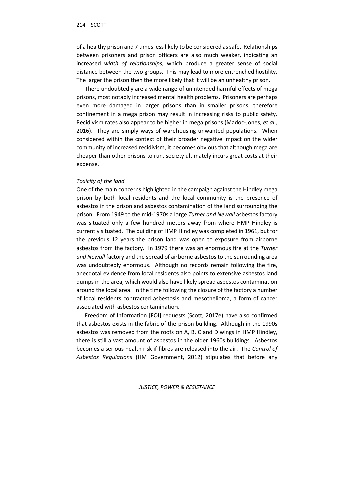of a healthy prison and 7 times less likely to be considered as safe. Relationships between prisoners and prison officers are also much weaker, indicating an increased *width of relationships*, which produce a greater sense of social distance between the two groups. This may lead to more entrenched hostility. The larger the prison then the more likely that it will be an unhealthy prison.

There undoubtedly are a wide range of unintended harmful effects of mega prisons, most notably increased mental health problems. Prisoners are perhaps even more damaged in larger prisons than in smaller prisons; therefore confinement in a mega prison may result in increasing risks to public safety. Recidivism rates also appear to be higher in mega prisons (Madoc-Jones, *et al.,*  2016). They are simply ways of warehousing unwanted populations. When considered within the context of their broader negative impact on the wider community of increased recidivism, it becomes obvious that although mega are cheaper than other prisons to run, society ultimately incurs great costs at their expense.

#### *Toxicity of the land*

One of the main concerns highlighted in the campaign against the Hindley mega prison by both local residents and the local community is the presence of asbestos in the prison and asbestos contamination of the land surrounding the prison. From 1949 to the mid-1970s a large *Turner and Newall* asbestos factory was situated only a few hundred meters away from where HMP Hindley is currently situated. The building of HMP Hindley was completed in 1961, but for the previous 12 years the prison land was open to exposure from airborne asbestos from the factory. In 1979 there was an enormous fire at the *Turner and Newall* factory and the spread of airborne asbestos to the surrounding area was undoubtedly enormous. Although no records remain following the fire, anecdotal evidence from local residents also points to extensive asbestos land dumps in the area, which would also have likely spread asbestos contamination around the local area. In the time following the closure of the factory a number of local residents contracted asbestosis and mesothelioma, a form of cancer associated with asbestos contamination.

Freedom of Information [FOI] requests (Scott, 2017e) have also confirmed that asbestos exists in the fabric of the prison building. Although in the 1990s asbestos was removed from the roofs on A, B, C and D wings in HMP Hindley, there is still a vast amount of asbestos in the older 1960s buildings. Asbestos becomes a serious health risk if fibres are released into the air. The *Control of Asbestos Regulations* (HM Government, 2012) stipulates that before any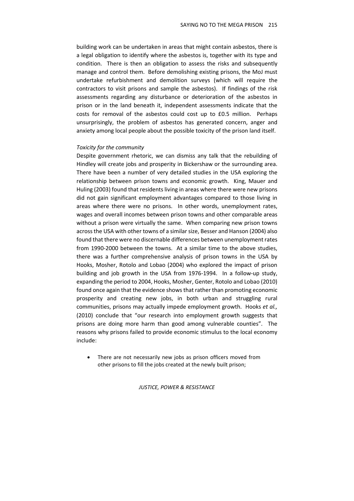building work can be undertaken in areas that might contain asbestos, there is a legal obligation to identify where the asbestos is, together with its type and condition. There is then an obligation to assess the risks and subsequently manage and control them. Before demolishing existing prisons, the MoJ must undertake refurbishment and demolition surveys (which will require the contractors to visit prisons and sample the asbestos). If findings of the risk assessments regarding any disturbance or deterioration of the asbestos in prison or in the land beneath it, independent assessments indicate that the costs for removal of the asbestos could cost up to £0.5 million. Perhaps unsurprisingly, the problem of asbestos has generated concern, anger and anxiety among local people about the possible toxicity of the prison land itself.

#### *Toxicity for the community*

Despite government rhetoric, we can dismiss any talk that the rebuilding of Hindley will create jobs and prosperity in Bickershaw or the surrounding area. There have been a number of very detailed studies in the USA exploring the relationship between prison towns and economic growth. King, Mauer and Huling (2003) found that residents living in areas where there were new prisons did not gain significant employment advantages compared to those living in areas where there were no prisons. In other words, unemployment rates, wages and overall incomes between prison towns and other comparable areas without a prison were virtually the same. When comparing new prison towns across the USA with other towns of a similar size, Besser and Hanson (2004) also found that there were no discernable differences between unemployment rates from 1990-2000 between the towns. At a similar time to the above studies, there was a further comprehensive analysis of prison towns in the USA by Hooks, Mosher, Rotolo and Lobao (2004) who explored the impact of prison building and job growth in the USA from 1976-1994. In a follow-up study, expanding the period to 2004, Hooks, Mosher, Genter, Rotolo and Lobao (2010) found once again that the evidence shows that rather than promoting economic prosperity and creating new jobs, in both urban and struggling rural communities, prisons may actually impede employment growth. Hooks *et al.,* (2010) conclude that "our research into employment growth suggests that prisons are doing more harm than good among vulnerable counties". The reasons why prisons failed to provide economic stimulus to the local economy include:

• There are not necessarily new jobs as prison officers moved from other prisons to fill the jobs created at the newly built prison;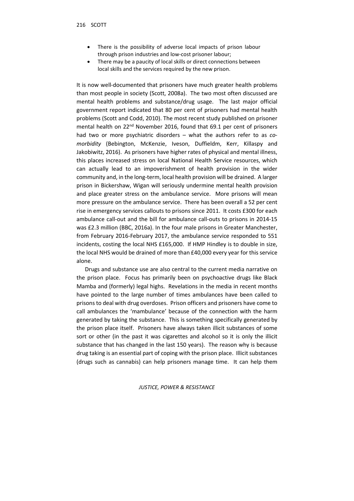- There is the possibility of adverse local impacts of prison labour through prison industries and low-cost prisoner labour;
- There may be a paucity of local skills or direct connections between local skills and the services required by the new prison.

It is now well-documented that prisoners have much greater health problems than most people in society (Scott, 2008a). The two most often discussed are mental health problems and substance/drug usage. The last major official government report indicated that 80 per cent of prisoners had mental health problems (Scott and Codd, 2010). The most recent study published on prisoner mental health on 22<sup>nd</sup> November 2016, found that 69.1 per cent of prisoners had two or more psychiatric disorders – what the authors refer to as *comorbidity* (Bebington, McKenzie, Iveson, Duffieldm, Kerr, Killaspy and Jakobiwitz, 2016). As prisoners have higher rates of physical and mental illness, this places increased stress on local National Health Service resources, which can actually lead to an impoverishment of health provision in the wider community and, in the long-term, local health provision will be drained. A larger prison in Bickershaw, Wigan will seriously undermine mental health provision and place greater stress on the ambulance service. More prisons will mean more pressure on the ambulance service. There has been overall a 52 per cent rise in emergency services callouts to prisons since 2011. It costs £300 for each ambulance call-out and the bill for ambulance call-outs to prisons in 2014-15 was £2.3 million (BBC, 2016a). In the four male prisons in Greater Manchester, from February 2016-February 2017, the ambulance service responded to 551 incidents, costing the local NHS £165,000. If HMP Hindley is to double in size, the local NHS would be drained of more than £40,000 every year for this service alone.

Drugs and substance use are also central to the current media narrative on the prison place. Focus has primarily been on psychoactive drugs like Black Mamba and (formerly) legal highs. Revelations in the media in recent months have pointed to the large number of times ambulances have been called to prisons to deal with drug overdoses. Prison officers and prisoners have come to call ambulances the 'mambulance' because of the connection with the harm generated by taking the substance. This is something specifically generated by the prison place itself. Prisoners have always taken illicit substances of some sort or other (in the past it was cigarettes and alcohol so it is only the illicit substance that has changed in the last 150 years). The reason why is because drug taking is an essential part of coping with the prison place. Illicit substances (drugs such as cannabis) can help prisoners manage time. It can help them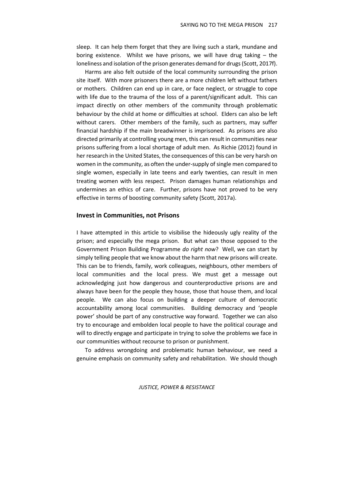sleep. It can help them forget that they are living such a stark, mundane and boring existence. Whilst we have prisons, we will have drug taking – the loneliness and isolation of the prison generates demand for drugs (Scott, 2017f).

Harms are also felt outside of the local community surrounding the prison site itself. With more prisoners there are a more children left without fathers or mothers. Children can end up in care, or face neglect, or struggle to cope with life due to the trauma of the loss of a parent/significant adult. This can impact directly on other members of the community through problematic behaviour by the child at home or difficulties at school. Elders can also be left without carers. Other members of the family, such as partners, may suffer financial hardship if the main breadwinner is imprisoned. As prisons are also directed primarily at controlling young men, this can result in communities near prisons suffering from a local shortage of adult men. As Richie (2012) found in her research in the United States, the consequences of this can be very harsh on women in the community, as often the under-supply of single men compared to single women, especially in late teens and early twenties, can result in men treating women with less respect. Prison damages human relationships and undermines an ethics of care. Further, prisons have not proved to be very effective in terms of boosting community safety (Scott, 2017a).

#### **Invest in Communities, not Prisons**

I have attempted in this article to visibilise the hideously ugly reality of the prison; and especially the mega prison. But what can those opposed to the Government Prison Building Programme *do right now*? Well, we can start by simply telling people that we know about the harm that new prisons will create. This can be to friends, family, work colleagues, neighbours, other members of local communities and the local press. We must get a message out acknowledging just how dangerous and counterproductive prisons are and always have been for the people they house, those that house them, and local people. We can also focus on building a deeper culture of democratic accountability among local communities. Building democracy and 'people power' should be part of any constructive way forward. Together we can also try to encourage and embolden local people to have the political courage and will to directly engage and participate in trying to solve the problems we face in our communities without recourse to prison or punishment.

To address wrongdoing and problematic human behaviour, we need a genuine emphasis on community safety and rehabilitation. We should though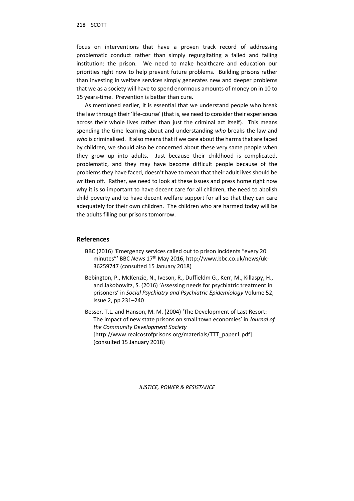focus on interventions that have a proven track record of addressing problematic conduct rather than simply regurgitating a failed and failing institution: the prison. We need to make healthcare and education our priorities right now to help prevent future problems. Building prisons rather than investing in welfare services simply generates new and deeper problems that we as a society will have to spend enormous amounts of money on in 10 to 15 years-time. Prevention is better than cure.

As mentioned earlier, it is essential that we understand people who break the law through their 'life-course' (that is, we need to consider their experiences across their whole lives rather than just the criminal act itself). This means spending the time learning about and understanding *who* breaks the law and *who* is criminalised. It also means that if we care about the harms that are faced by children, we should also be concerned about these very same people when they grow up into adults. Just because their childhood is complicated, problematic, and they may have become difficult people because of the problems they have faced, doesn't have to mean that their adult lives should be written off. Rather, we need to look at these issues and press home right now why it is so important to have decent care for all children, the need to abolish child poverty and to have decent welfare support for all so that they can care adequately for their own children. The children who are harmed today will be the adults filling our prisons tomorrow.

#### **References**

- BBC (2016) 'Emergency services called out to prison incidents "every 20 minutes"' BBC *News* 17th May 2016, http://www.bbc.co.uk/news/uk-36259747 (consulted 15 January 2018)
- Bebington, P., McKenzie, N., Iveson, R., Duffieldm G., Kerr, M., Killaspy, H., and Jakobowitz, S. (2016) 'Assessing needs for psychiatric treatment in prisoners' in *Social Psychiatry and Psychiatric Epidemiology* Volume 52, Issue 2, pp 231–240

Besser, T.L. and Hanson, M. M. (2004) 'The Development of Last Resort: The impact of new state prisons on small town economies' in *Journal of the Community Development Society* [http://www.realcostofprisons.org/materials/TTT\_paper1.pdf] (consulted 15 January 2018)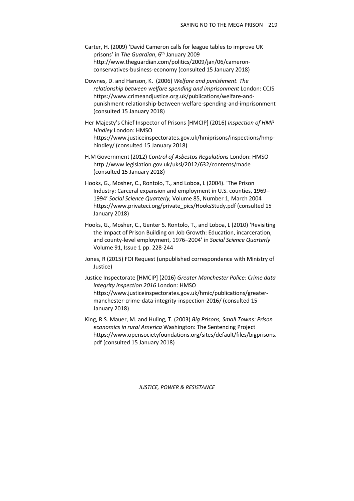- Carter, H. (2009) 'David Cameron calls for league tables to improve UK prisons' in *The Guardian*, 6<sup>th</sup> January 2009 http://www.theguardian.com/politics/2009/jan/06/cameronconservatives-business-economy (consulted 15 January 2018)
- Downes, D. and Hanson, K. (2006) *Welfare and punishment. The relationship between welfare spending and imprisonment* London: CCJS https://www.crimeandjustice.org.uk/publications/welfare-andpunishment-relationship-between-welfare-spending-and-imprisonment (consulted 15 January 2018)
- Her Majesty's Chief Inspector of Prisons [HMCIP] (2016) *Inspection of HMP Hindley* London: HMSO https://www.justiceinspectorates.gov.uk/hmiprisons/inspections/hmphindley/ (consulted 15 January 2018)
- H.M Government (2012) *Control of Asbestos Regulations* London: HMSO http://www.legislation.gov.uk/uksi/2012/632/contents/made (consulted 15 January 2018)
- Hooks, G., Mosher, C., Rontolo, T., and Loboa, L (2004). 'The Prison Industry: Carceral expansion and employment in U.S. counties, 1969– 1994' *Social Science Quarterly,* Volume 85, Number 1, March 2004 https://www.privateci.org/private\_pics/HooksStudy.pdf (consulted 15 January 2018)
- Hooks, G., Mosher, C., Genter S. Rontolo, T., and Loboa, L (2010) 'Revisiting the Impact of Prison Building on Job Growth: Education, incarceration, and county-level employment, 1976–2004' in *Social Science Quarterly*  Volume 91, Issue 1 pp. 228-244
- Jones, R (2015) FOI Request (unpublished correspondence with Ministry of Justice)

Justice Inspectorate [HMCIP] (2016) *Greater Manchester Police: Crime data integrity inspection 2016* London: HMSO https://www.justiceinspectorates.gov.uk/hmic/publications/greatermanchester-crime-data-integrity-inspection-2016/ (consulted 15 January 2018)

King, R.S. Mauer, M. and Huling, T. (2003) *Big Prisons, Small Towns: Prison economics in rural America* Washington: The Sentencing Project https://www.opensocietyfoundations.org/sites/default/files/bigprisons. pdf (consulted 15 January 2018)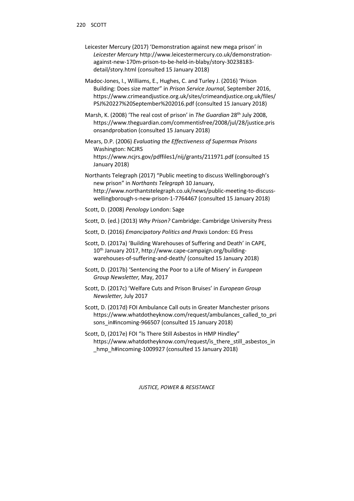- Leicester Mercury (2017) 'Demonstration against new mega prison' in *Leicester Mercury* http://www.leicestermercury.co.uk/demonstrationagainst-new-170m-prison-to-be-held-in-blaby/story-30238183 detail/story.html (consulted 15 January 2018)
- Madoc-Jones, I., Williams, E., Hughes, C. and Turley J. (2016) 'Prison Building: Does size matter" in *Prison Service Journal*, September 2016, https://www.crimeandjustice.org.uk/sites/crimeandjustice.org.uk/files/ PSJ%20227%20September%202016.pdf (consulted 15 January 2018)
- Marsh, K. (2008) 'The real cost of prison' in *The Guardian* 28th July 2008, https://www.theguardian.com/commentisfree/2008/jul/28/justice.pris onsandprobation (consulted 15 January 2018)
- Mears, D.P. (2006) *Evaluating the Effectiveness of Supermax Prisons* Washington: NCJRS https://www.ncjrs.gov/pdffiles1/nij/grants/211971.pdf (consulted 15 January 2018)
- Northants Telegraph (2017) "Public meeting to discuss Wellingborough's new prison" in *Northants Telegraph* 10 January, http://www.northantstelegraph.co.uk/news/public-meeting-to-discusswellingborough-s-new-prison-1-7764467 (consulted 15 January 2018)
- Scott, D. (2008) *Penology* London: Sage
- Scott, D. (ed.) (2013) *Why Prison?* Cambridge: Cambridge University Press
- Scott, D. (2016) *Emancipatory Politics and Praxis* London: EG Press
- Scott, D. (2017a) 'Building Warehouses of Suffering and Death' in CAPE, 10th January 2017, http://www.cape-campaign.org/buildingwarehouses-of-suffering-and-death/ (consulted 15 January 2018)
- Scott, D. (2017b) 'Sentencing the Poor to a Life of Misery' in *European Group Newsletter,* May, 2017
- Scott, D. (2017c) 'Welfare Cuts and Prison Bruises' in *European Group Newsletter,* July 2017
- Scott, D. (2017d) FOI Ambulance Call outs in Greater Manchester prisons https://www.whatdotheyknow.com/request/ambulances\_called\_to\_pri sons in#incoming-966507 (consulted 15 January 2018)
- Scott, D, (2017e) FOI "Is There Still Asbestos in HMP Hindley" https://www.whatdotheyknow.com/request/is\_there\_still\_asbestos\_in hmp\_h#incoming-1009927 (consulted 15 January 2018)